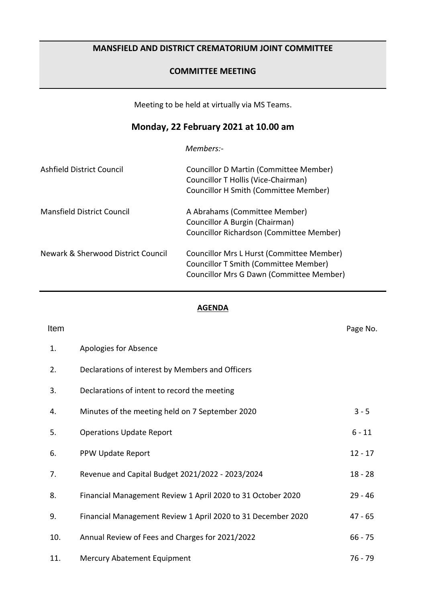# **MANSFIELD AND DISTRICT CREMATORIUM JOINT COMMITTEE**

## **COMMITTEE MEETING**

Meeting to be held at virtually via MS Teams.

# **Monday, 22 February 2021 at 10.00 am**

*Members:-*

| Ashfield District Council          | Councillor D Martin (Committee Member)<br>Councillor T Hollis (Vice-Chairman)<br>Councillor H Smith (Committee Member)         |
|------------------------------------|--------------------------------------------------------------------------------------------------------------------------------|
| Mansfield District Council         | A Abrahams (Committee Member)<br>Councillor A Burgin (Chairman)<br>Councillor Richardson (Committee Member)                    |
| Newark & Sherwood District Council | Councillor Mrs L Hurst (Committee Member)<br>Councillor T Smith (Committee Member)<br>Councillor Mrs G Dawn (Committee Member) |

#### **AGENDA**

| Item |                                                              | Page No.  |
|------|--------------------------------------------------------------|-----------|
| 1.   | Apologies for Absence                                        |           |
| 2.   | Declarations of interest by Members and Officers             |           |
| 3.   | Declarations of intent to record the meeting                 |           |
| 4.   | Minutes of the meeting held on 7 September 2020              | $3 - 5$   |
| 5.   | <b>Operations Update Report</b>                              | $6 - 11$  |
| 6.   | PPW Update Report                                            | $12 - 17$ |
| 7.   | Revenue and Capital Budget 2021/2022 - 2023/2024             | $18 - 28$ |
| 8.   | Financial Management Review 1 April 2020 to 31 October 2020  | $29 - 46$ |
| 9.   | Financial Management Review 1 April 2020 to 31 December 2020 | $47 - 65$ |
| 10.  | Annual Review of Fees and Charges for 2021/2022              | $66 - 75$ |
| 11.  | Mercury Abatement Equipment                                  | $76 - 79$ |